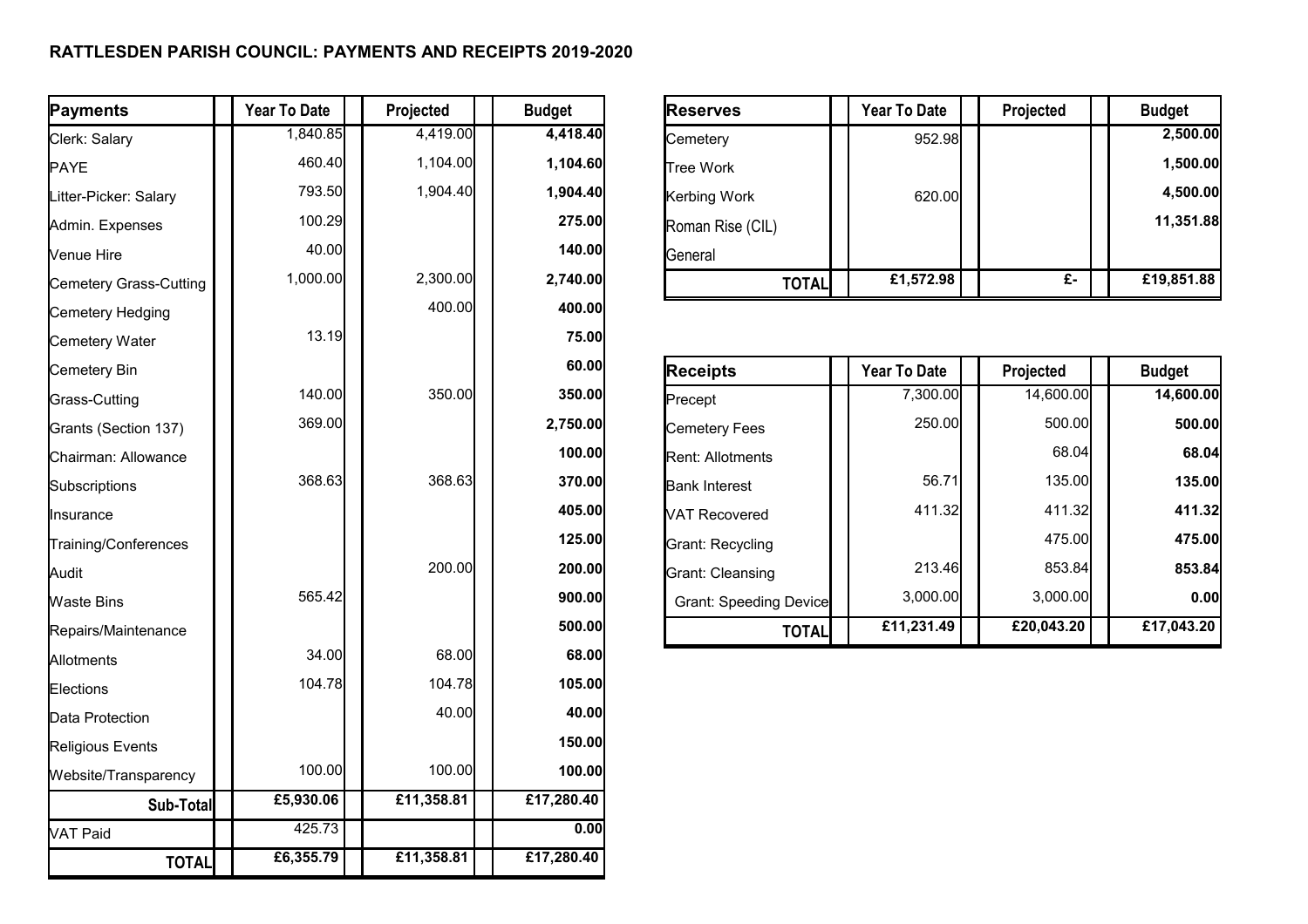## **RATTLESDEN PARISH COUNCIL: PAYMENTS AND RECEIPTS 2019-2020**

| Payments               | <b>Year To Date</b> | Projected  | <b>Budget</b> | <b>Reserves</b>               | <b>Year To Date</b> | Projected        | <b>Budget</b> |
|------------------------|---------------------|------------|---------------|-------------------------------|---------------------|------------------|---------------|
| Clerk: Salary          | 1,840.85            | 4,419.00   | 4,418.40      | Cemetery                      | 952.98              |                  | 2,500.00      |
| <b>PAYE</b>            | 460.40              | 1,104.00   | 1,104.60      | <b>Tree Work</b>              |                     |                  | 1,500.00      |
| Litter-Picker: Salary  | 793.50              | 1,904.40   | 1,904.40      | Kerbing Work                  | 620.00              |                  | 4,500.00      |
| Admin. Expenses        | 100.29              |            | 275.00        | Roman Rise (CIL)              |                     |                  | 11,351.88     |
| Venue Hire             | 40.00               |            | 140.00        | General                       |                     |                  |               |
| Cemetery Grass-Cutting | 1,000.00            | 2,300.00   | 2,740.00      | <b>TOTAL</b>                  | £1,572.98           | $\overline{f}$ . | £19,851.88    |
| Cemetery Hedging       |                     | 400.00     | 400.00        |                               |                     |                  |               |
| Cemetery Water         | 13.19               |            | 75.00         |                               |                     |                  |               |
| Cemetery Bin           |                     |            | 60.00         | <b>Receipts</b>               | <b>Year To Date</b> | Projected        | <b>Budget</b> |
| Grass-Cutting          | 140.00              | 350.00     | 350.00        | Precept                       | 7,300.00            | 14,600.00        | 14,600.00     |
| Grants (Section 137)   | 369.00              |            | 2,750.00      | <b>Cemetery Fees</b>          | 250.00              | 500.00           | 500.00        |
| Chairman: Allowance    |                     |            | 100.00        | <b>Rent: Allotments</b>       |                     | 68.04            | 68.04         |
| Subscriptions          | 368.63              | 368.63     | 370.00        | <b>Bank Interest</b>          | 56.71               | 135.00           | 135.00        |
| Insurance              |                     |            | 405.00        | <b>VAT Recovered</b>          | 411.32              | 411.32           | 411.32        |
| Training/Conferences   |                     |            | 125.00        | <b>Grant: Recycling</b>       |                     | 475.00           | 475.00        |
| Audit                  |                     | 200.00     | 200.00        | <b>Grant: Cleansing</b>       | 213.46              | 853.84           | 853.84        |
| <b>Waste Bins</b>      | 565.42              |            | 900.00        | <b>Grant: Speeding Device</b> | 3,000.00            | 3,000.00         | 0.00          |
| Repairs/Maintenance    |                     |            | 500.00        | <b>TOTAL</b>                  | £11,231.49          | £20,043.20       | £17,043.20    |
| Allotments             | 34.00               | 68.00      | 68.00         |                               |                     |                  |               |
| Elections              | 104.78              | 104.78     | 105.00        |                               |                     |                  |               |
| Data Protection        |                     | 40.00      | 40.00         |                               |                     |                  |               |
| Religious Events       |                     |            | 150.00        |                               |                     |                  |               |
| Website/Transparency   | 100.00              | 100.00     | 100.00        |                               |                     |                  |               |
| Sub-Total              | £5,930.06           | £11,358.81 | £17,280.40    |                               |                     |                  |               |
| VAT Paid               | 425.73              |            | 0.00          |                               |                     |                  |               |
| <b>TOTAL</b>           | £6,355.79           | £11,358.81 | £17,280.40    |                               |                     |                  |               |

| <b>Reserves</b>  | <b>Year To Date</b> | Projected | <b>Budget</b> |
|------------------|---------------------|-----------|---------------|
| Cemetery         | 952.98              |           | 2,500.00      |
| <b>Tree Work</b> |                     |           | 1,500.00      |
| Kerbing Work     | 620.00              |           | 4,500.00      |
| Roman Rise (CIL) |                     |           | 11,351.88     |
| General          |                     |           |               |
| TOTAL            | £1,572.98           | £-        | £19,851.88    |

| Cemetery Bin         |        |        | 60.00    | <b>Receipts</b>               | Year To Date | Projected  | <b>Budget</b> |
|----------------------|--------|--------|----------|-------------------------------|--------------|------------|---------------|
| Grass-Cutting        | 140.00 | 350.00 | 350.00   | Precept                       | 7,300.00     | 14,600.00  | 14,600.00     |
| Grants (Section 137) | 369.00 |        | 2,750.00 | Cemetery Fees                 | 250.00       | 500.00     | 500,00        |
| Chairman: Allowance  |        |        | 100.00   | <b>Rent: Allotments</b>       |              | 68.04      | 68.04         |
| Subscriptions        | 368.63 | 368.63 | 370.00   | <b>Bank Interest</b>          | 56.71        | 135.00     | <b>135.00</b> |
| Insurance            |        |        | 405.00   | <b>VAT Recovered</b>          | 411.32       | 411.32     | 411.32        |
| Training/Conferences |        |        | 125.00   | Grant: Recycling              |              | 475.00     | 475.00        |
| Audit                |        | 200.00 | 200.00   | Grant: Cleansing              | 213.46       | 853.84     | 853.84        |
| Waste Bins           | 565.42 |        | 900.00   | <b>Grant: Speeding Device</b> | 3,000.00     | 3,000.00   | 0.00          |
| Repairs/Maintenance  |        |        | 500.00   | <b>TOTAL</b>                  | £11,231.49   | £20,043.20 | £17,043.20    |